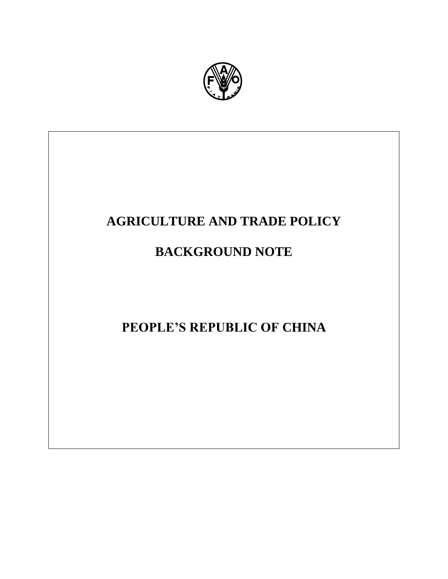

# **AGRICULTURE AND TRADE POLICY**

# **BACKGROUND NOTE**

# **PEOPLE'S REPUBLIC OF CHINA**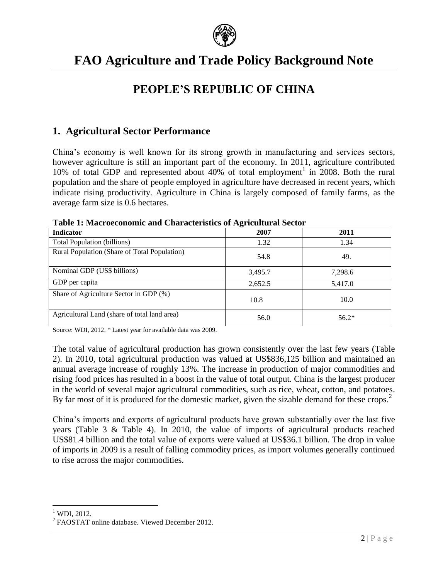

# **FAO Agriculture and Trade Policy Background Note**

# **PEOPLE'S REPUBLIC OF CHINA**

### **1. Agricultural Sector Performance**

China's economy is well known for its strong growth in manufacturing and services sectors, however agriculture is still an important part of the economy. In 2011, agriculture contributed 10% of total GDP and represented about 40% of total employment<sup>1</sup> in 2008. Both the rural population and the share of people employed in agriculture have decreased in recent years, which indicate rising productivity. Agriculture in China is largely composed of family farms, as the average farm size is 0.6 hectares.

| <b>Indicator</b>                             | 0<br>2007 | 2011    |
|----------------------------------------------|-----------|---------|
| Total Population (billions)                  | 1.32      | 1.34    |
| Rural Population (Share of Total Population) | 54.8      | 49.     |
| Nominal GDP (US\$ billions)                  | 3,495.7   | 7,298.6 |
| GDP per capita                               | 2,652.5   | 5,417.0 |
| Share of Agriculture Sector in GDP (%)       | 10.8      | 10.0    |
| Agricultural Land (share of total land area) | 56.0      | $56.2*$ |

**Table 1: Macroeconomic and Characteristics of Agricultural Sector** 

Source: WDI, 2012. \* Latest year for available data was 2009.

The total value of agricultural production has grown consistently over the last few years (Table 2). In 2010, total agricultural production was valued at US\$836,125 billion and maintained an annual average increase of roughly 13%. The increase in production of major commodities and rising food prices has resulted in a boost in the value of total output. China is the largest producer in the world of several major agricultural commodities, such as rice, wheat, cotton, and potatoes. By far most of it is produced for the domestic market, given the sizable demand for these crops.<sup>2</sup>

China's imports and exports of agricultural products have grown substantially over the last five years (Table 3 & Table 4). In 2010, the value of imports of agricultural products reached US\$81.4 billion and the total value of exports were valued at US\$36.1 billion. The drop in value of imports in 2009 is a result of falling commodity prices, as import volumes generally continued to rise across the major commodities.

 $\overline{\phantom{a}}$  $1$  WDI, 2012.

<sup>&</sup>lt;sup>2</sup> FAOSTAT online database. Viewed December 2012.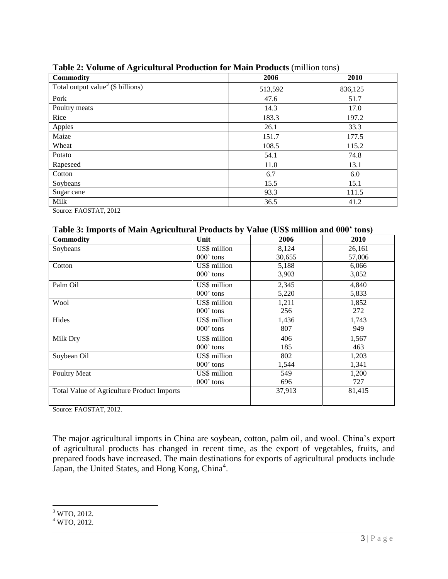| o                                                |         | $\overline{\phantom{a}}$ |
|--------------------------------------------------|---------|--------------------------|
| <b>Commodity</b>                                 | 2006    | 2010                     |
| Total output value <sup>3</sup> ( $\$$ billions) | 513,592 | 836,125                  |
| Pork                                             | 47.6    | 51.7                     |
| Poultry meats                                    | 14.3    | 17.0                     |
| Rice                                             | 183.3   | 197.2                    |
| Apples                                           | 26.1    | 33.3                     |
| Maize                                            | 151.7   | 177.5                    |
| Wheat                                            | 108.5   | 115.2                    |
| Potato                                           | 54.1    | 74.8                     |
| Rapeseed                                         | 11.0    | 13.1                     |
| Cotton                                           | 6.7     | 6.0                      |
| Soybeans                                         | 15.5    | 15.1                     |
| Sugar cane                                       | 93.3    | 111.5                    |
| Milk                                             | 36.5    | 41.2                     |

**Table 2: Volume of Agricultural Production for Main Products** (million tons)

Source: FAOSTAT, 2012

#### **Table 3: Imports of Main Agricultural Products by Value (US\$ million and 000' tons)**

| <b>Commodity</b>                                  | Unit         | 2006   | 2010   |
|---------------------------------------------------|--------------|--------|--------|
| Soybeans                                          | US\$ million | 8,124  | 26,161 |
|                                                   | 000' tons    | 30,655 | 57,006 |
| Cotton                                            | US\$ million | 5,188  | 6,066  |
|                                                   | $000$ ' tons | 3,903  | 3,052  |
| Palm Oil                                          | US\$ million | 2,345  | 4,840  |
|                                                   | $000$ ' tons | 5,220  | 5,833  |
| Wool                                              | US\$ million | 1,211  | 1,852  |
|                                                   | 000' tons    | 256    | 272    |
| Hides                                             | US\$ million | 1,436  | 1,743  |
|                                                   | 000' tons    | 807    | 949    |
| Milk Dry                                          | US\$ million | 406    | 1,567  |
|                                                   | 000' tons    | 185    | 463    |
| Soybean Oil                                       | US\$ million | 802    | 1,203  |
|                                                   | $000$ ' tons | 1,544  | 1,341  |
| Poultry Meat                                      | US\$ million | 549    | 1,200  |
|                                                   | $000$ ' tons | 696    | 727    |
| <b>Total Value of Agriculture Product Imports</b> |              | 37,913 | 81,415 |
|                                                   |              |        |        |

Source: FAOSTAT, 2012.

The major agricultural imports in China are soybean, cotton, palm oil, and wool. China's export of agricultural products has changed in recent time, as the export of vegetables, fruits, and prepared foods have increased. The main destinations for exports of agricultural products include Japan, the United States, and Hong Kong, China<sup>4</sup>.

 $\overline{\phantom{a}}$  $3$  WTO, 2012.

 $4$  WTO, 2012.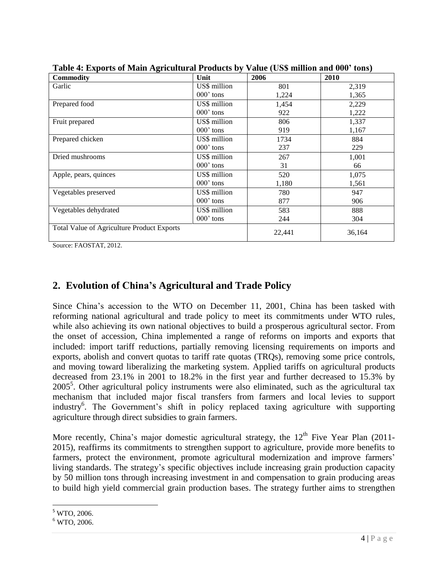| <b>Commodity</b>                                  | Unit         | 2006   | 2010   |
|---------------------------------------------------|--------------|--------|--------|
| Garlic                                            | US\$ million | 801    | 2,319  |
|                                                   | $000$ ' tons | 1,224  | 1,365  |
| Prepared food                                     | US\$ million | 1,454  | 2,229  |
|                                                   | $000$ ' tons | 922    | 1,222  |
| Fruit prepared                                    | US\$ million | 806    | 1,337  |
|                                                   | 000' tons    | 919    | 1,167  |
| Prepared chicken                                  | US\$ million | 1734   | 884    |
|                                                   | $000$ ' tons | 237    | 229    |
| Dried mushrooms                                   | US\$ million | 267    | 1,001  |
|                                                   | $000$ ' tons | 31     | 66     |
| Apple, pears, quinces                             | US\$ million | 520    | 1,075  |
|                                                   | $000$ ' tons | 1,180  | 1,561  |
| Vegetables preserved                              | US\$ million | 780    | 947    |
|                                                   | $000$ ' tons | 877    | 906    |
| Vegetables dehydrated                             | US\$ million | 583    | 888    |
|                                                   | $000$ ' tons | 244    | 304    |
| <b>Total Value of Agriculture Product Exports</b> |              | 22,441 | 36,164 |

**Table 4: Exports of Main Agricultural Products by Value (US\$ million and 000' tons)**

Source: FAOSTAT, 2012.

## **2. Evolution of China's Agricultural and Trade Policy**

Since China's accession to the WTO on December 11, 2001, China has been tasked with reforming national agricultural and trade policy to meet its commitments under WTO rules, while also achieving its own national objectives to build a prosperous agricultural sector. From the onset of accession, China implemented a range of reforms on imports and exports that included: import tariff reductions, partially removing licensing requirements on imports and exports, abolish and convert quotas to tariff rate quotas (TRQs), removing some price controls, and moving toward liberalizing the marketing system. Applied tariffs on agricultural products decreased from 23.1% in 2001 to 18.2% in the first year and further decreased to 15.3% by  $2005<sup>5</sup>$ . Other agricultural policy instruments were also eliminated, such as the agricultural tax mechanism that included major fiscal transfers from farmers and local levies to support industry<sup>6</sup>. The Government's shift in policy replaced taxing agriculture with supporting agriculture through direct subsidies to grain farmers.

More recently, China's major domestic agricultural strategy, the  $12<sup>th</sup>$  Five Year Plan (2011-2015), reaffirms its commitments to strengthen support to agriculture, provide more benefits to farmers, protect the environment, promote agricultural modernization and improve farmers' living standards. The strategy's specific objectives include increasing grain production capacity by 50 million tons through increasing investment in and compensation to grain producing areas to build high yield commercial grain production bases. The strategy further aims to strengthen

l <sup>5</sup> WTO, 2006.

 $6$  WTO, 2006.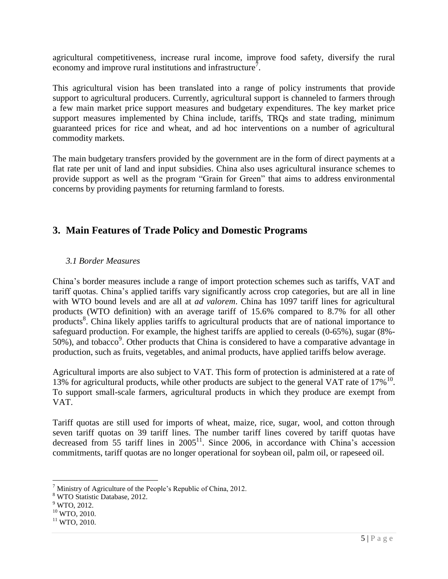agricultural competitiveness, increase rural income, improve food safety, diversify the rural economy and improve rural institutions and infrastructure<sup>7</sup>.

This agricultural vision has been translated into a range of policy instruments that provide support to agricultural producers. Currently, agricultural support is channeled to farmers through a few main market price support measures and budgetary expenditures. The key market price support measures implemented by China include, tariffs, TRQs and state trading, minimum guaranteed prices for rice and wheat, and ad hoc interventions on a number of agricultural commodity markets.

The main budgetary transfers provided by the government are in the form of direct payments at a flat rate per unit of land and input subsidies. China also uses agricultural insurance schemes to provide support as well as the program "Grain for Green" that aims to address environmental concerns by providing payments for returning farmland to forests.

### **3. Main Features of Trade Policy and Domestic Programs**

#### *3.1 Border Measures*

China's border measures include a range of import protection schemes such as tariffs, VAT and tariff quotas. China's applied tariffs vary significantly across crop categories, but are all in line with WTO bound levels and are all at *ad valorem*. China has 1097 tariff lines for agricultural products (WTO definition) with an average tariff of 15.6% compared to 8.7% for all other products<sup>8</sup>. China likely applies tariffs to agricultural products that are of national importance to safeguard production. For example, the highest tariffs are applied to cereals (0-65%), sugar (8%- 50%), and tobacco<sup>9</sup>. Other products that China is considered to have a comparative advantage in production, such as fruits, vegetables, and animal products, have applied tariffs below average.

Agricultural imports are also subject to VAT. This form of protection is administered at a rate of 13% for agricultural products, while other products are subject to the general VAT rate of  $17\%$ <sup>10</sup>. To support small-scale farmers, agricultural products in which they produce are exempt from VAT.

Tariff quotas are still used for imports of wheat, maize, rice, sugar, wool, and cotton through seven tariff quotas on 39 tariff lines. The number tariff lines covered by tariff quotas have decreased from 55 tariff lines in  $2005^{11}$ . Since 2006, in accordance with China's accession commitments, tariff quotas are no longer operational for soybean oil, palm oil, or rapeseed oil.

 $\overline{a}$  $<sup>7</sup>$  Ministry of Agriculture of the People's Republic of China, 2012.</sup>

<sup>8</sup> WTO Statistic Database, 2012.

<sup>&</sup>lt;sup>9</sup> WTO, 2012.

 $10$  WTO, 2010.

 $11$  WTO, 2010.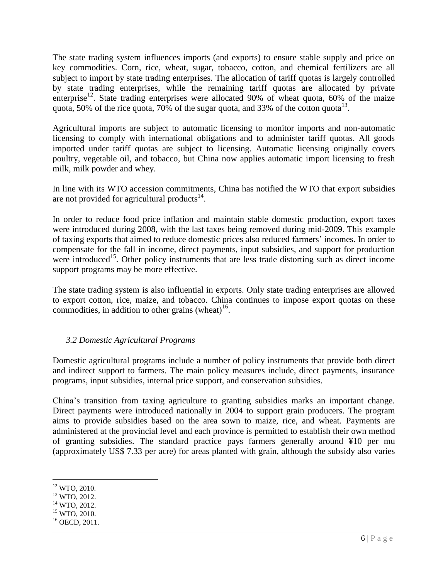The state trading system influences imports (and exports) to ensure stable supply and price on key commodities. Corn, rice, wheat, sugar, tobacco, cotton, and chemical fertilizers are all subject to import by state trading enterprises. The allocation of tariff quotas is largely controlled by state trading enterprises, while the remaining tariff quotas are allocated by private enterprise<sup>12</sup>. State trading enterprises were allocated 90% of wheat quota, 60% of the maize quota, 50% of the rice quota, 70% of the sugar quota, and 33% of the cotton quota<sup>13</sup>.

Agricultural imports are subject to automatic licensing to monitor imports and non-automatic licensing to comply with international obligations and to administer tariff quotas. All goods imported under tariff quotas are subject to licensing. Automatic licensing originally covers poultry, vegetable oil, and tobacco, but China now applies automatic import licensing to fresh milk, milk powder and whey.

In line with its WTO accession commitments, China has notified the WTO that export subsidies are not provided for agricultural products $^{14}$ .

In order to reduce food price inflation and maintain stable domestic production, export taxes were introduced during 2008, with the last taxes being removed during mid-2009. This example of taxing exports that aimed to reduce domestic prices also reduced farmers' incomes. In order to compensate for the fall in income, direct payments, input subsidies, and support for production were introduced<sup>15</sup>. Other policy instruments that are less trade distorting such as direct income support programs may be more effective.

The state trading system is also influential in exports. Only state trading enterprises are allowed to export cotton, rice, maize, and tobacco. China continues to impose export quotas on these commodities, in addition to other grains (wheat) $16$ .

#### *3.2 Domestic Agricultural Programs*

Domestic agricultural programs include a number of policy instruments that provide both direct and indirect support to farmers. The main policy measures include, direct payments, insurance programs, input subsidies, internal price support, and conservation subsidies.

China's transition from taxing agriculture to granting subsidies marks an important change. Direct payments were introduced nationally in 2004 to support grain producers. The program aims to provide subsidies based on the area sown to maize, rice, and wheat. Payments are administered at the provincial level and each province is permitted to establish their own method of granting subsidies. The standard practice pays farmers generally around ¥10 per mu (approximately US\$ 7.33 per acre) for areas planted with grain, although the subsidy also varies

 $\overline{a}$ <sup>12</sup> WTO, 2010.

<sup>13</sup> WTO, 2012.

 $14$  WTO, 2012.

 $15$  WTO, 2010.

 $16$  OECD, 2011.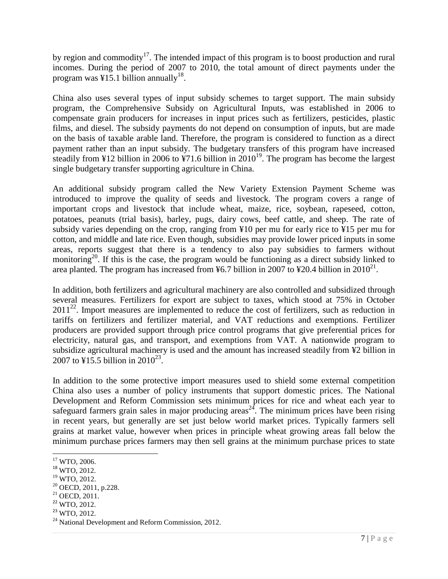by region and commodity<sup>17</sup>. The intended impact of this program is to boost production and rural incomes. During the period of 2007 to 2010, the total amount of direct payments under the program was ¥15.1 billion annually<sup>18</sup>.

China also uses several types of input subsidy schemes to target support. The main subsidy program, the Comprehensive Subsidy on Agricultural Inputs, was established in 2006 to compensate grain producers for increases in input prices such as fertilizers, pesticides, plastic films, and diesel. The subsidy payments do not depend on consumption of inputs, but are made on the basis of taxable arable land. Therefore, the program is considered to function as a direct payment rather than an input subsidy. The budgetary transfers of this program have increased steadily from ¥12 billion in 2006 to ¥71.6 billion in 2010<sup>19</sup>. The program has become the largest single budgetary transfer supporting agriculture in China.

An additional subsidy program called the New Variety Extension Payment Scheme was introduced to improve the quality of seeds and livestock. The program covers a range of important crops and livestock that include wheat, maize, rice, soybean, rapeseed, cotton, potatoes, peanuts (trial basis), barley, pugs, dairy cows, beef cattle, and sheep. The rate of subsidy varies depending on the crop, ranging from ¥10 per mu for early rice to ¥15 per mu for cotton, and middle and late rice. Even though, subsidies may provide lower priced inputs in some areas, reports suggest that there is a tendency to also pay subsidies to farmers without monitoring<sup>20</sup>. If this is the case, the program would be functioning as a direct subsidy linked to area planted. The program has increased from ¥6.7 billion in 2007 to ¥20.4 billion in  $2010^{21}$ .

In addition, both fertilizers and agricultural machinery are also controlled and subsidized through several measures. Fertilizers for export are subject to taxes, which stood at 75% in October  $2011^{22}$ . Import measures are implemented to reduce the cost of fertilizers, such as reduction in tariffs on fertilizers and fertilizer material, and VAT reductions and exemptions. Fertilizer producers are provided support through price control programs that give preferential prices for electricity, natural gas, and transport, and exemptions from VAT. A nationwide program to subsidize agricultural machinery is used and the amount has increased steadily from ¥2 billion in 2007 to ¥15.5 billion in 2010<sup>23</sup>.

In addition to the some protective import measures used to shield some external competition China also uses a number of policy instruments that support domestic prices. The National Development and Reform Commission sets minimum prices for rice and wheat each year to safeguard farmers grain sales in major producing areas<sup>24</sup>. The minimum prices have been rising in recent years, but generally are set just below world market prices. Typically farmers sell grains at market value, however when prices in principle wheat growing areas fall below the minimum purchase prices farmers may then sell grains at the minimum purchase prices to state

l <sup>17</sup> WTO, 2006.

<sup>18</sup> WTO, 2012.

<sup>19</sup> WTO, 2012.

<sup>20</sup> OECD, 2011, p.228.

 $21$  OECD,  $2011$ .

<sup>22</sup> WTO, 2012.

<sup>&</sup>lt;sup>23</sup> WTO, 2012.

<sup>&</sup>lt;sup>24</sup> National Development and Reform Commission, 2012.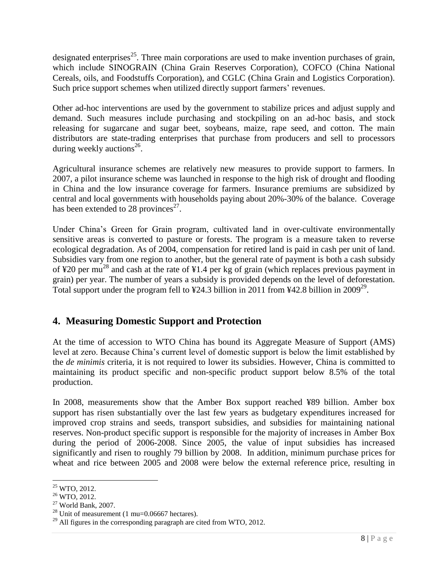designated enterprises<sup>25</sup>. Three main corporations are used to make invention purchases of grain, which include SINOGRAIN (China Grain Reserves Corporation), COFCO (China National Cereals, oils, and Foodstuffs Corporation), and CGLC (China Grain and Logistics Corporation). Such price support schemes when utilized directly support farmers' revenues.

Other ad-hoc interventions are used by the government to stabilize prices and adjust supply and demand. Such measures include purchasing and stockpiling on an ad-hoc basis, and stock releasing for sugarcane and sugar beet, soybeans, maize, rape seed, and cotton. The main distributors are state-trading enterprises that purchase from producers and sell to processors during weekly auctions<sup>26</sup>.

Agricultural insurance schemes are relatively new measures to provide support to farmers. In 2007, a pilot insurance scheme was launched in response to the high risk of drought and flooding in China and the low insurance coverage for farmers. Insurance premiums are subsidized by central and local governments with households paying about 20%-30% of the balance. Coverage has been extended to 28 provinces $^{27}$ .

Under China's Green for Grain program, cultivated land in over-cultivate environmentally sensitive areas is converted to pasture or forests. The program is a measure taken to reverse ecological degradation. As of 2004, compensation for retired land is paid in cash per unit of land. Subsidies vary from one region to another, but the general rate of payment is both a cash subsidy of ¥20 per mu<sup>28</sup> and cash at the rate of ¥1.4 per kg of grain (which replaces previous payment in grain) per year. The number of years a subsidy is provided depends on the level of deforestation. Total support under the program fell to  $\frac{424.3 \text{ billion in } 2011 \text{ from } \frac{42.8 \text{ billion in } 2009^{29}}{20000 \text{ ft}}$ .

# **4. Measuring Domestic Support and Protection**

At the time of accession to WTO China has bound its Aggregate Measure of Support (AMS) level at zero. Because China's current level of domestic support is below the limit established by the *de minimis* criteria, it is not required to lower its subsidies. However, China is committed to maintaining its product specific and non-specific product support below 8.5% of the total production.

In 2008, measurements show that the Amber Box support reached ¥89 billion. Amber box support has risen substantially over the last few years as budgetary expenditures increased for improved crop strains and seeds, transport subsidies, and subsidies for maintaining national reserves. Non-product specific support is responsible for the majority of increases in Amber Box during the period of 2006-2008. Since 2005, the value of input subsidies has increased significantly and risen to roughly 79 billion by 2008. In addition, minimum purchase prices for wheat and rice between 2005 and 2008 were below the external reference price, resulting in

 $\overline{a}$  $25$  WTO, 2012.

<sup>26</sup> WTO, 2012.

 $27$  World Bank, 2007.

 $28$  Unit of measurement (1 mu=0.06667 hectares).

 $^{29}$  All figures in the corresponding paragraph are cited from WTO, 2012.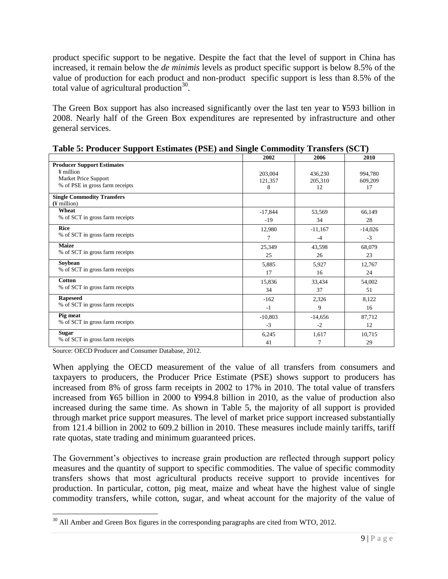product specific support to be negative. Despite the fact that the level of support in China has increased, it remain below the *de minimis* levels as product specific support is below 8.5% of the value of production for each product and non-product specific support is less than 8.5% of the total value of agricultural production $30$ .

The Green Box support has also increased significantly over the last ten year to ¥593 billion in 2008. Nearly half of the Green Box expenditures are represented by infrastructure and other general services.

|                                   | 2002      | 2006      | 2010      |
|-----------------------------------|-----------|-----------|-----------|
| <b>Producer Support Estimates</b> |           |           |           |
| ¥ million                         | 203,004   | 436,230   | 994,780   |
| Market Price Support              | 121,357   | 205,310   | 609,209   |
| % of PSE in gross farm receipts   | 8         | 12        | 17        |
| <b>Single Commodity Transfers</b> |           |           |           |
| $($ ¥ million $)$                 |           |           |           |
| Wheat                             | $-17,844$ | 53,569    | 66,149    |
| % of SCT in gross farm receipts   | $-19$     | 34        | 28        |
| <b>Rice</b>                       | 12,980    | $-11,167$ | $-14,026$ |
| % of SCT in gross farm receipts   | 7         | $-4$      | $-3$      |
| <b>Maize</b>                      | 25,349    | 43,598    | 68,079    |
| % of SCT in gross farm receipts   | 25        | 26        | 23        |
| Soybean                           | 5,885     | 5,927     | 12,767    |
| % of SCT in gross farm receipts   | 17        | 16        | 24        |
| <b>Cotton</b>                     | 15,836    | 33,434    | 54,002    |
| % of SCT in gross farm receipts   | 34        | 37        | 51        |
| <b>Rapeseed</b>                   | $-162$    | 2,326     | 8,122     |
| % of SCT in gross farm receipts   | $-1$      | 9         | 16        |
| Pig meat                          | $-10,803$ | $-14,656$ | 87,712    |
| % of SCT in gross farm receipts   | $-3$      | $-2$      | 12        |
| <b>Sugar</b>                      | 6,245     | 1,617     | 10,715    |
| % of SCT in gross farm receipts   | 41        | 7         | 29        |

**Table 5: Producer Support Estimates (PSE) and Single Commodity Transfers (SCT)**

Source: OECD Producer and Consumer Database, 2012.

When applying the OECD measurement of the value of all transfers from consumers and taxpayers to producers, the Producer Price Estimate (PSE) shows support to producers has increased from 8% of gross farm receipts in 2002 to 17% in 2010. The total value of transfers increased from ¥65 billion in 2000 to ¥994.8 billion in 2010, as the value of production also increased during the same time. As shown in Table 5, the majority of all support is provided through market price support measures. The level of market price support increased substantially from 121.4 billion in 2002 to 609.2 billion in 2010. These measures include mainly tariffs, tariff rate quotas, state trading and minimum guaranteed prices.

The Government's objectives to increase grain production are reflected through support policy measures and the quantity of support to specific commodities. The value of specific commodity transfers shows that most agricultural products receive support to provide incentives for production. In particular, cotton, pig meat, maize and wheat have the highest value of single commodity transfers, while cotton, sugar, and wheat account for the majority of the value of

 $\overline{\phantom{a}}$ <sup>30</sup> All Amber and Green Box figures in the corresponding paragraphs are cited from WTO, 2012.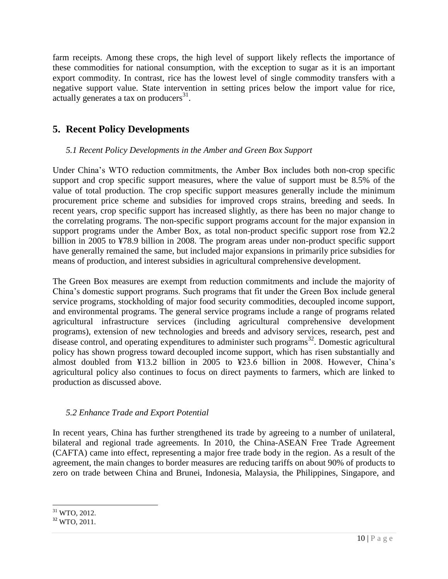farm receipts. Among these crops, the high level of support likely reflects the importance of these commodities for national consumption, with the exception to sugar as it is an important export commodity. In contrast, rice has the lowest level of single commodity transfers with a negative support value. State intervention in setting prices below the import value for rice, actually generates a tax on producers $31$ .

# **5. Recent Policy Developments**

#### *5.1 Recent Policy Developments in the Amber and Green Box Support*

Under China's WTO reduction commitments, the Amber Box includes both non-crop specific support and crop specific support measures, where the value of support must be 8.5% of the value of total production. The crop specific support measures generally include the minimum procurement price scheme and subsidies for improved crops strains, breeding and seeds. In recent years, crop specific support has increased slightly, as there has been no major change to the correlating programs. The non-specific support programs account for the major expansion in support programs under the Amber Box, as total non-product specific support rose from ¥2.2 billion in 2005 to ¥78.9 billion in 2008. The program areas under non-product specific support have generally remained the same, but included major expansions in primarily price subsidies for means of production, and interest subsidies in agricultural comprehensive development.

The Green Box measures are exempt from reduction commitments and include the majority of China's domestic support programs. Such programs that fit under the Green Box include general service programs, stockholding of major food security commodities, decoupled income support, and environmental programs. The general service programs include a range of programs related agricultural infrastructure services (including agricultural comprehensive development programs), extension of new technologies and breeds and advisory services, research, pest and disease control, and operating expenditures to administer such programs<sup>32</sup>. Domestic agricultural policy has shown progress toward decoupled income support, which has risen substantially and almost doubled from ¥13.2 billion in 2005 to ¥23.6 billion in 2008. However, China's agricultural policy also continues to focus on direct payments to farmers, which are linked to production as discussed above.

#### *5.2 Enhance Trade and Export Potential*

In recent years, China has further strengthened its trade by agreeing to a number of unilateral, bilateral and regional trade agreements. In 2010, the China-ASEAN Free Trade Agreement (CAFTA) came into effect, representing a major free trade body in the region. As a result of the agreement, the main changes to border measures are reducing tariffs on about 90% of products to zero on trade between China and Brunei, Indonesia, Malaysia, the Philippines, Singapore, and

l  $31$  WTO, 2012.

 $32$  WTO, 2011.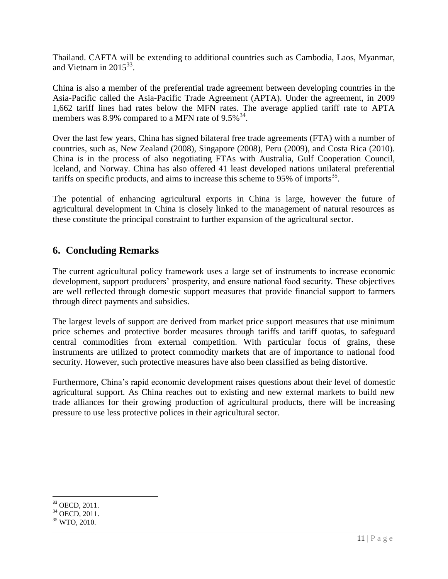Thailand. CAFTA will be extending to additional countries such as Cambodia, Laos, Myanmar, and Vietnam in  $2015^{33}$ .

China is also a member of the preferential trade agreement between developing countries in the Asia-Pacific called the Asia-Pacific Trade Agreement (APTA). Under the agreement, in 2009 1,662 tariff lines had rates below the MFN rates. The average applied tariff rate to APTA members was 8.9% compared to a MFN rate of  $9.5\%$ <sup>34</sup>.

Over the last few years, China has signed bilateral free trade agreements (FTA) with a number of countries, such as, New Zealand (2008), Singapore (2008), Peru (2009), and Costa Rica (2010). China is in the process of also negotiating FTAs with Australia, Gulf Cooperation Council, Iceland, and Norway. China has also offered 41 least developed nations unilateral preferential tariffs on specific products, and aims to increase this scheme to 95% of imports<sup>35</sup>.

The potential of enhancing agricultural exports in China is large, however the future of agricultural development in China is closely linked to the management of natural resources as these constitute the principal constraint to further expansion of the agricultural sector.

# **6. Concluding Remarks**

The current agricultural policy framework uses a large set of instruments to increase economic development, support producers' prosperity, and ensure national food security. These objectives are well reflected through domestic support measures that provide financial support to farmers through direct payments and subsidies.

The largest levels of support are derived from market price support measures that use minimum price schemes and protective border measures through tariffs and tariff quotas, to safeguard central commodities from external competition. With particular focus of grains, these instruments are utilized to protect commodity markets that are of importance to national food security. However, such protective measures have also been classified as being distortive.

Furthermore, China's rapid economic development raises questions about their level of domestic agricultural support. As China reaches out to existing and new external markets to build new trade alliances for their growing production of agricultural products, there will be increasing pressure to use less protective polices in their agricultural sector.

 $\overline{\phantom{a}}$ <sup>33</sup> OECD, 2011.

 $34$  OECD, 2011.

 $35$  WTO, 2010.